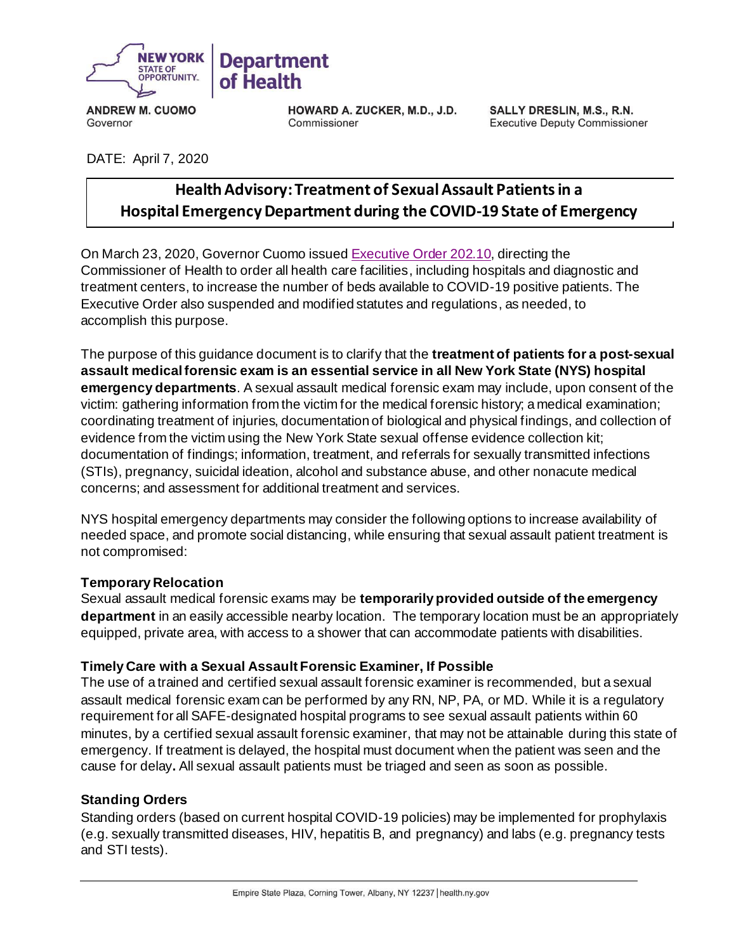

**ANDREW M. CUOMO** Governor

HOWARD A. ZUCKER, M.D., J.D. Commissioner

SALLY DRESLIN, M.S., R.N. **Executive Deputy Commissioner** 

# DATE: April 7, 2020

# **HealthAdvisory:Treatment of Sexual Assault Patients in a Hospital Emergency Department during the COVID-19 State of Emergency**

On March 23, 2020, Governor Cuomo issued [Executive Order 202.10](https://www.governor.ny.gov/news/no-20210-continuing-temporary-suspension-and-modification-laws-relating-disaster-emergency), directing the Commissioner of Health to order all health care facilities, including hospitals and diagnostic and treatment centers, to increase the number of beds available to COVID-19 positive patients. The Executive Order also suspended and modified statutes and regulations, as needed, to accomplish this purpose.

The purpose of this guidance document is to clarify that the **treatment of patients for a post-sexual assault medical forensic exam is an essential service in all New York State (NYS) hospital emergency departments**. A sexual assault medical forensic exam may include, upon consent of the victim: gathering information from the victim for the medical forensic history; a medical examination; coordinating treatment of injuries, documentation of biological and physical findings, and collection of evidence from the victim using the New York State sexual offense evidence collection kit; documentation of findings; information, treatment, and referrals for sexually transmitted infections (STIs), pregnancy, suicidal ideation, alcohol and substance abuse, and other nonacute medical concerns; and assessment for additional treatment and services.

NYS hospital emergency departments may consider the following options to increase availability of needed space, and promote social distancing, while ensuring that sexual assault patient treatment is not compromised:

## **Temporary Relocation**

Sexual assault medical forensic exams may be **temporarily provided outside of the emergency department** in an easily accessible nearby location. The temporary location must be an appropriately equipped, private area, with access to a shower that can accommodate patients with disabilities.

#### **Timely Care with a Sexual Assault Forensic Examiner, If Possible**

The use of a trained and certified sexual assault forensic examiner is recommended, but a sexual assault medical forensic exam can be performed by any RN, NP, PA, or MD. While it is a regulatory requirement for all SAFE-designated hospital programs to see sexual assault patients within 60 minutes, by a certified sexual assault forensic examiner, that may not be attainable during this state of emergency. If treatment is delayed, the hospital must document when the patient was seen and the cause for delay**.** All sexual assault patients must be triaged and seen as soon as possible.

## **Standing Orders**

Standing orders (based on current hospital COVID-19 policies) may be implemented for prophylaxis (e.g. sexually transmitted diseases, HIV, hepatitis B, and pregnancy) and labs (e.g. pregnancy tests and STI tests).